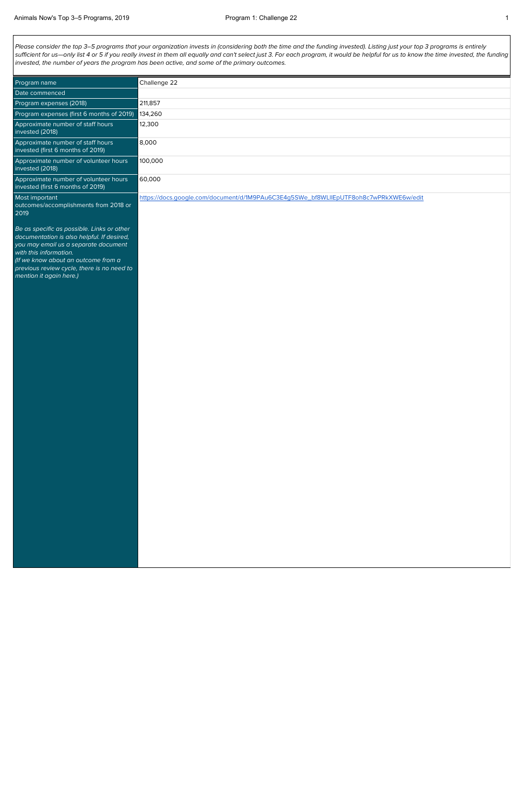Please consider the top 3-5 programs that your organization invests in (considering both the time and the funding invested). Listing just your top 3 programs is entirely sufficient for us—only list 4 or 5 if you really invest in them all equally and can't select just 3. For each program, it would be helpful for us to know the time invested, the funding invested, the number of years the program has been active, and some of the primary outcomes.

| Program name                                                                                                                                                                                                                                                               | Challenge 22                                                                         |
|----------------------------------------------------------------------------------------------------------------------------------------------------------------------------------------------------------------------------------------------------------------------------|--------------------------------------------------------------------------------------|
| Date commenced                                                                                                                                                                                                                                                             |                                                                                      |
| Program expenses (2018)                                                                                                                                                                                                                                                    | 211,857                                                                              |
| Program expenses (first 6 months of 2019)                                                                                                                                                                                                                                  | 134,260                                                                              |
| Approximate number of staff hours<br>invested (2018)                                                                                                                                                                                                                       | 12,300                                                                               |
| Approximate number of staff hours<br>invested (first 6 months of 2019)                                                                                                                                                                                                     | 8,000                                                                                |
| Approximate number of volunteer hours<br>invested (2018)                                                                                                                                                                                                                   | 100,000                                                                              |
| Approximate number of volunteer hours<br>invested (first 6 months of 2019)                                                                                                                                                                                                 | 60,000                                                                               |
| Most important<br>outcomes/accomplishments from 2018 or<br>2019                                                                                                                                                                                                            | https://docs.google.com/document/d/1M9PAu6C3E4g5SWe_bf8WLIIEpUTF8oh8c7wPRkXWE6w/edit |
| Be as specific as possible. Links or other<br>documentation is also helpful. If desired,<br>you may email us a separate document<br>with this information.<br>(If we know about an outcome from a<br>previous review cycle, there is no need to<br>mention it again here.) |                                                                                      |
|                                                                                                                                                                                                                                                                            |                                                                                      |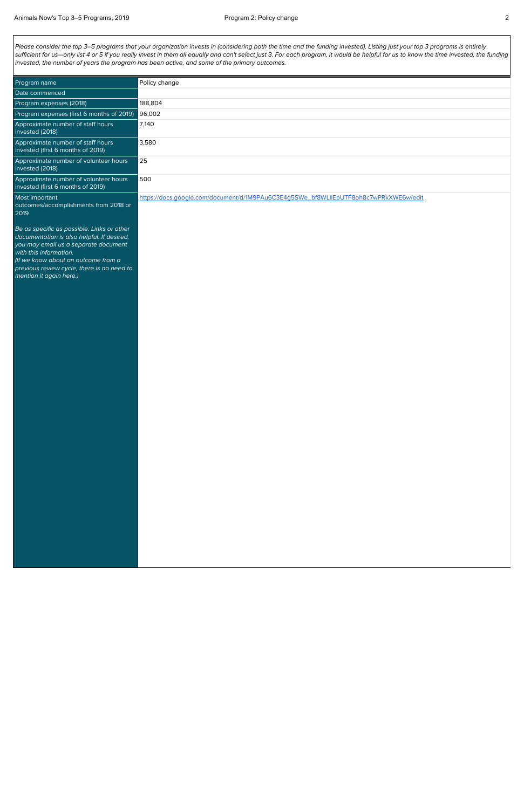Please consider the top 3-5 programs that your organization invests in (considering both the time and the funding invested). Listing just your top 3 programs is entirely sufficient for us—only list 4 or 5 if you really invest in them all equally and can't select just 3. For each program, it would be helpful for us to know the time invested, the funding invested, the number of years the program has been active, and some of the primary outcomes.

| Program name                                                                                                                                                                                                                                    | Policy change                                                                        |
|-------------------------------------------------------------------------------------------------------------------------------------------------------------------------------------------------------------------------------------------------|--------------------------------------------------------------------------------------|
| Date commenced                                                                                                                                                                                                                                  |                                                                                      |
| Program expenses (2018)                                                                                                                                                                                                                         | 188,804                                                                              |
| Program expenses (first 6 months of 2019)                                                                                                                                                                                                       | 96,002                                                                               |
| Approximate number of staff hours<br>invested (2018)                                                                                                                                                                                            | 7,140                                                                                |
| Approximate number of staff hours<br>invested (first 6 months of 2019)                                                                                                                                                                          | 3,580                                                                                |
| Approximate number of volunteer hours<br>invested (2018)                                                                                                                                                                                        | 25                                                                                   |
| Approximate number of volunteer hours<br>invested (first 6 months of 2019)                                                                                                                                                                      | 500                                                                                  |
| Most important<br>outcomes/accomplishments from 2018 or<br>2019                                                                                                                                                                                 | https://docs.google.com/document/d/1M9PAu6C3E4g5SWe_bf8WLIIEpUTF8oh8c7wPRkXWE6w/edit |
| Be as specific as possible. Links or other<br>documentation is also helpful. If desired,<br>you may email us a separate document<br>with this information.<br>(If we know about an outcome from a<br>previous review cycle, there is no need to |                                                                                      |

mention it again here.)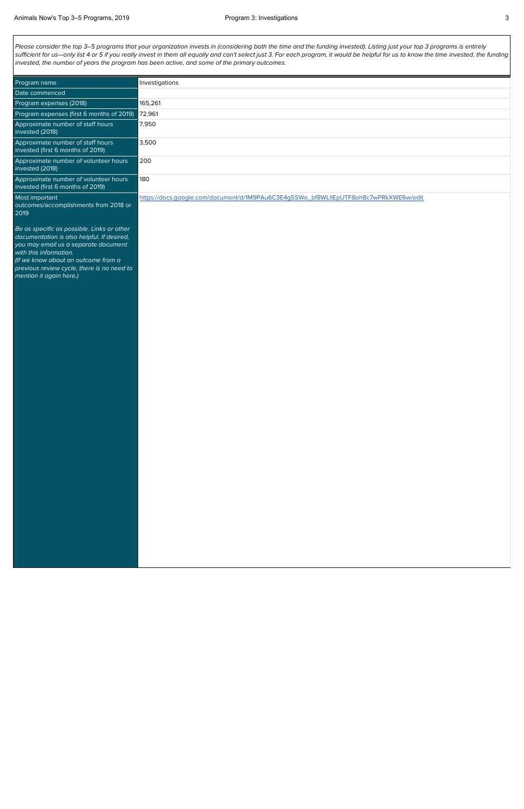Please consider the top 3-5 programs that your organization invests in (considering both the time and the funding invested). Listing just your top 3 programs is entirely sufficient for us—only list 4 or 5 if you really invest in them all equally and can't select just 3. For each program, it would be helpful for us to know the time invested, the funding invested, the number of years the program has been active, and some of the primary outcomes.

| Program name                                                                                                                                                                                                                                                               | Investigations                                                                       |
|----------------------------------------------------------------------------------------------------------------------------------------------------------------------------------------------------------------------------------------------------------------------------|--------------------------------------------------------------------------------------|
| Date commenced                                                                                                                                                                                                                                                             |                                                                                      |
| Program expenses (2018)                                                                                                                                                                                                                                                    | 165,261                                                                              |
| Program expenses (first 6 months of 2019)                                                                                                                                                                                                                                  | 72,961                                                                               |
| Approximate number of staff hours<br>invested (2018)                                                                                                                                                                                                                       | 7,950                                                                                |
| Approximate number of staff hours<br>invested (first 6 months of 2019)                                                                                                                                                                                                     | 3,500                                                                                |
| Approximate number of volunteer hours<br>invested (2018)                                                                                                                                                                                                                   | 200                                                                                  |
| Approximate number of volunteer hours<br>invested (first 6 months of 2019)                                                                                                                                                                                                 | 180                                                                                  |
| Most important<br>outcomes/accomplishments from 2018 or<br>2019                                                                                                                                                                                                            | https://docs.google.com/document/d/1M9PAu6C3E4g5SWe_bf8WLIIEpUTF8oh8c7wPRkXWE6w/edit |
| Be as specific as possible. Links or other<br>documentation is also helpful. If desired,<br>you may email us a separate document<br>with this information.<br>(If we know about an outcome from a<br>previous review cycle, there is no need to<br>mention it again here.) |                                                                                      |